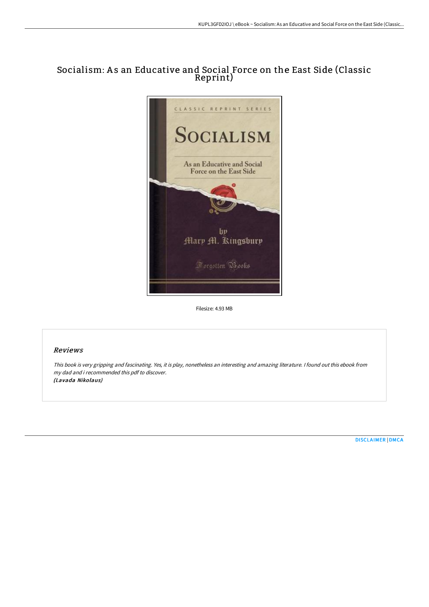# Socialism: A s an Educative and Social Force on the East Side (Classic Reprint)



Filesize: 4.93 MB

## Reviews

This book is very gripping and fascinating. Yes, it is play, nonetheless an interesting and amazing literature. <sup>I</sup> found out this ebook from my dad and i recommended this pdf to discover. (Lavada Nikolaus)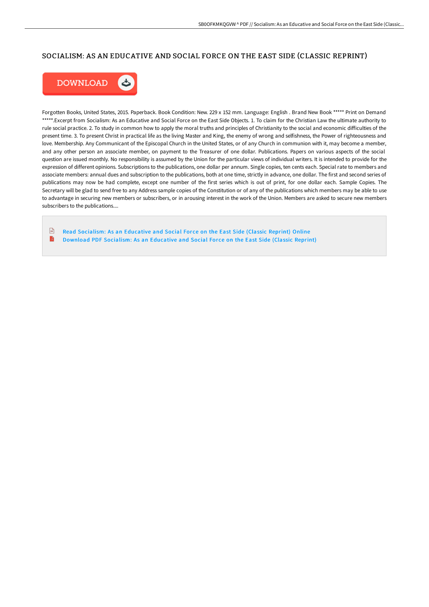## SOCIALISM: AS AN EDUCATIVE AND SOCIAL FORCE ON THE EAST SIDE (CLASSIC REPRINT)



Forgotten Books, United States, 2015. Paperback. Book Condition: New. 229 x 152 mm. Language: English . Brand New Book \*\*\*\*\* Print on Demand \*\*\*\*\*.Excerpt from Socialism: As an Educative and Social Force on the East Side Objects. 1. To claim for the Christian Law the ultimate authority to rule social practice. 2. To study in common how to apply the moral truths and principles of Christianity to the social and economic difficulties of the present time. 3. To present Christ in practical life as the living Master and King, the enemy of wrong and selfishness, the Power of righteousness and love. Membership. Any Communicant of the Episcopal Church in the United States, or of any Church in communion with it, may become a member, and any other person an associate member, on payment to the Treasurer of one dollar. Publications. Papers on various aspects of the social question are issued monthly. No responsibility is assumed by the Union for the particular views of individual writers. It is intended to provide for the expression of different opinions. Subscriptions to the publications, one dollar per annum. Single copies, ten cents each. Special rate to members and associate members: annual dues and subscription to the publications, both at one time, strictly in advance, one dollar. The first and second series of publications may now be had complete, except one number of the first series which is out of print, for one dollar each. Sample Copies. The Secretary will be glad to send free to any Address sample copies of the Constitution or of any of the publications which members may be able to use to advantage in securing new members or subscribers, or in arousing interest in the work of the Union. Members are asked to secure new members subscribers to the publications....

 $\sqrt{m}$ Read [Socialism:](http://techno-pub.tech/socialism-as-an-educative-and-social-force-on-th.html) As an Educative and Social Force on the East Side (Classic Reprint) Online B Download PDF [Socialism:](http://techno-pub.tech/socialism-as-an-educative-and-social-force-on-th.html) As an Educative and Social For ce on the East Side (Classic Reprint)